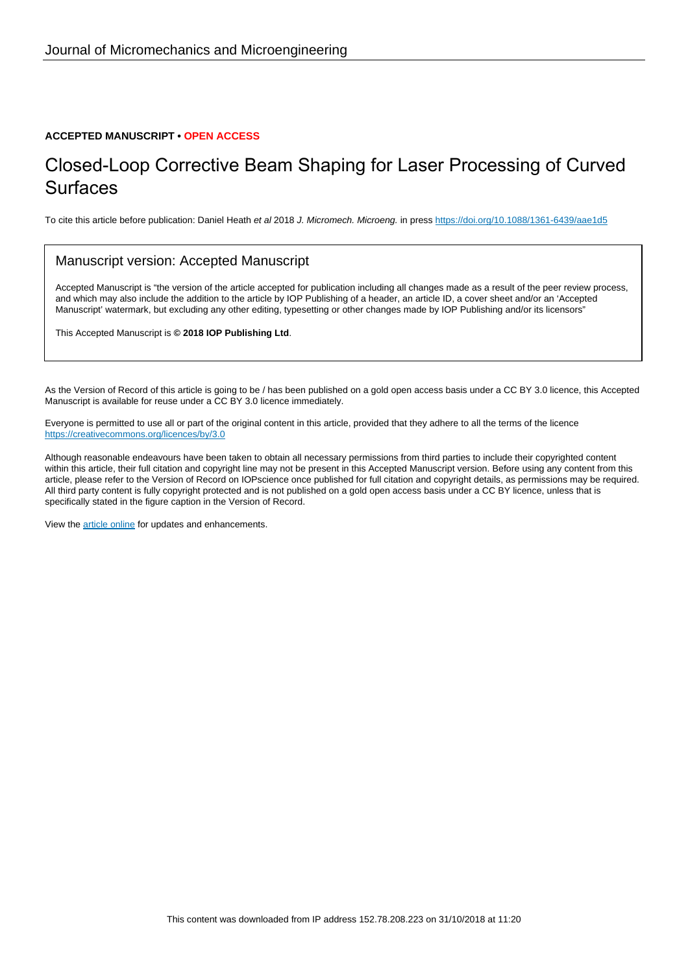#### **ACCEPTED MANUSCRIPT • OPEN ACCESS**

## Closed-Loop Corrective Beam Shaping for Laser Processing of Curved **Surfaces**

To cite this article before publication: Daniel Heath et al 2018 J. Micromech. Microeng. in press <https://doi.org/10.1088/1361-6439/aae1d5>

#### Manuscript version: Accepted Manuscript

Accepted Manuscript is "the version of the article accepted for publication including all changes made as a result of the peer review process, and which may also include the addition to the article by IOP Publishing of a header, an article ID, a cover sheet and/or an 'Accepted Manuscript' watermark, but excluding any other editing, typesetting or other changes made by IOP Publishing and/or its licensors"

This Accepted Manuscript is **© 2018 IOP Publishing Ltd**.

As the Version of Record of this article is going to be / has been published on a gold open access basis under a CC BY 3.0 licence, this Accepted Manuscript is available for reuse under a CC BY 3.0 licence immediately.

Everyone is permitted to use all or part of the original content in this article, provided that they adhere to all the terms of the licence <https://creativecommons.org/licences/by/3.0>

Although reasonable endeavours have been taken to obtain all necessary permissions from third parties to include their copyrighted content within this article, their full citation and copyright line may not be present in this Accepted Manuscript version. Before using any content from this article, please refer to the Version of Record on IOPscience once published for full citation and copyright details, as permissions may be required. All third party content is fully copyright protected and is not published on a gold open access basis under a CC BY licence, unless that is specifically stated in the figure caption in the Version of Record.

View the [article online](https://doi.org/10.1088/1361-6439/aae1d5) for updates and enhancements.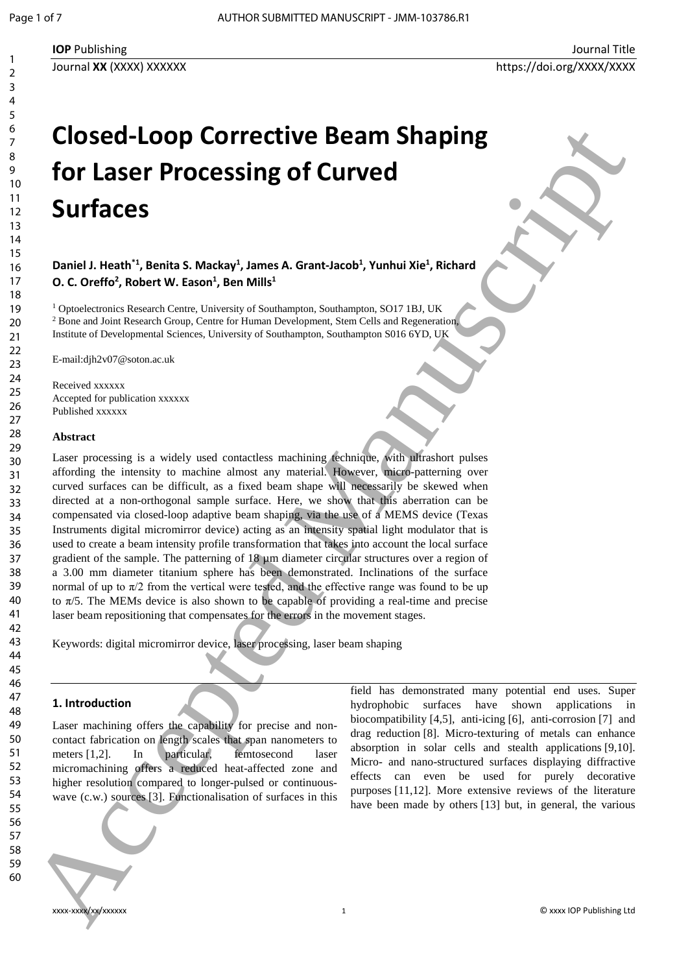# **Closed-Loop Corrective Beam Shaping for Laser Processing of Curved Surfaces**

Daniel J. Heath<sup>\*1</sup>, Benita S. Mackay<sup>1</sup>, James A. Grant-Jacob<sup>1</sup>, Yunhui Xie<sup>1</sup>, Richard **O. C. Oreffo<sup>2</sup>, Robert W. Eason<sup>1</sup>, Ben Mills<sup>1</sup>** 

<sup>1</sup> Optoelectronics Research Centre, University of Southampton, Southampton, SO17 1BJ, UK <sup>2</sup> Bone and Joint Research Group, Centre for Human Development, Stem Cells and Regeneration, Institute of Developmental Sciences, University of Southampton, Southampton S016 6YD, UK

E-mail:djh2v07@soton.ac.uk

Received xxxxxx Accepted for publication xxxxxx Published xxxxxx

#### **Abstract**

Laser processing is a widely used contactless machining technique, with ultrashort pulses affording the intensity to machine almost any material. However, micro-patterning over curved surfaces can be difficult, as a fixed beam shape will necessarily be skewed when directed at a non-orthogonal sample surface. Here, we show that this aberration can be compensated via closed-loop adaptive beam shaping, via the use of a MEMS device (Texas Instruments digital micromirror device) acting as an intensity spatial light modulator that is used to create a beam intensity profile transformation that takes into account the local surface gradient of the sample. The patterning of 18 µm diameter circular structures over a region of a 3.00 mm diameter titanium sphere has been demonstrated. Inclinations of the surface normal of up to  $\pi/2$  from the vertical were tested, and the effective range was found to be up to  $\pi/5$ . The MEMs device is also shown to be capable of providing a real-time and precise laser beam repositioning that compensates for the errors in the movement stages. Closed-Loop Corrective Beam Shaping<br>
for Laser Processing of Curved<br>
Surfaces<br>
Note as a contract of the contract of the contract of the contract of the contract of the contract of the contract of the contract of the cont

Keywords: digital micromirror device, laser processing, laser beam shaping

#### **1. Introduction**

Laser machining offers the capability for precise and noncontact fabrication on length scales that span nanometers to meters [1,2]. In particular, femtosecond laser micromachining offers a reduced heat-affected zone and higher resolution compared to longer-pulsed or continuouswave (c.w.) sources [3]. Functionalisation of surfaces in this

field has demonstrated many potential end uses. Super hydrophobic surfaces have shown applications in biocompatibility [4,5], anti-icing [6], anti-corrosion [7] and drag reduction [8]. Micro-texturing of metals can enhance absorption in solar cells and stealth applications [9,10]. Micro- and nano-structured surfaces displaying diffractive effects can even be used for purely decorative

purposes [11,12]. More extensive reviews of the literature have been made by others [13] but, in general, the various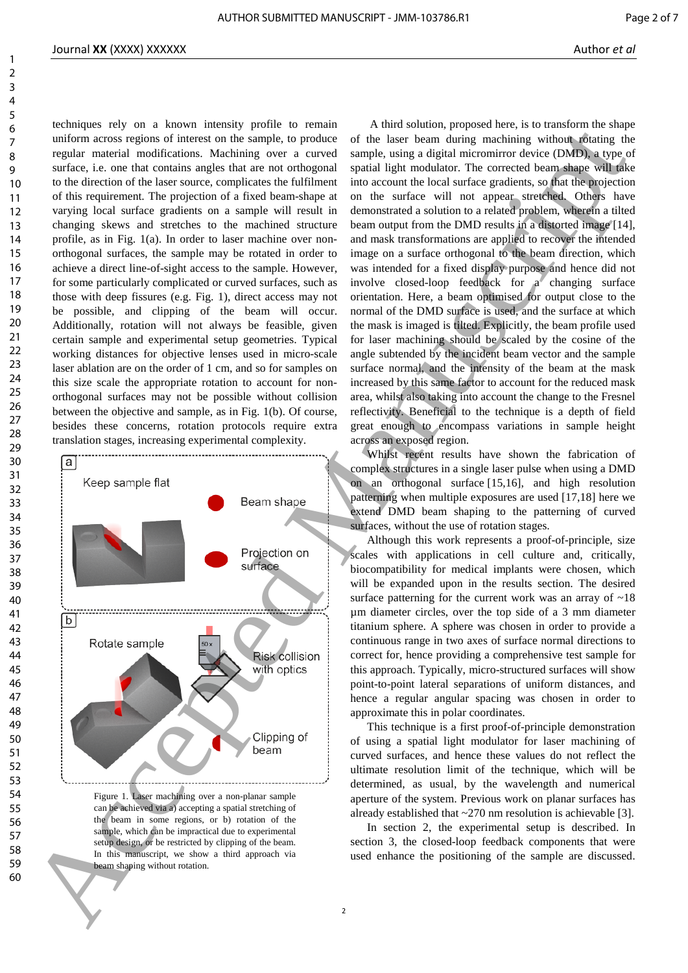techniques rely on a known intensity profile to remain uniform across regions of interest on the sample, to produce regular material modifications. Machining over a curved surface, i.e. one that contains angles that are not orthogonal to the direction of the laser source, complicates the fulfilment of this requirement. The projection of a fixed beam-shape at varying local surface gradients on a sample will result in changing skews and stretches to the machined structure profile, as in Fig. 1(a). In order to laser machine over nonorthogonal surfaces, the sample may be rotated in order to achieve a direct line-of-sight access to the sample. However, for some particularly complicated or curved surfaces, such as those with deep fissures (e.g. Fig. 1), direct access may not be possible, and clipping of the beam will occur. Additionally, rotation will not always be feasible, given certain sample and experimental setup geometries. Typical working distances for objective lenses used in micro-scale laser ablation are on the order of 1 cm, and so for samples on this size scale the appropriate rotation to account for nonorthogonal surfaces may not be possible without collision between the objective and sample, as in Fig. 1(b). Of course, besides these concerns, rotation protocols require extra translation stages, increasing experimental complexity.



Figure 1. Laser machining over a non-planar sample can be achieved via a) accepting a spatial stretching of the beam in some regions, or b) rotation of the sample, which can be impractical due to experimental setup design, or be restricted by clipping of the beam. In this manuscript, we show a third approach via beam shaping without rotation.

A third solution, proposed here, is to transform the shape of the laser beam during machining without rotating the sample, using a digital micromirror device (DMD), a type of spatial light modulator. The corrected beam shape will take into account the local surface gradients, so that the projection on the surface will not appear stretched. Others have demonstrated a solution to a related problem, wherein a tilted beam output from the DMD results in a distorted image [14], and mask transformations are applied to recover the intended image on a surface orthogonal to the beam direction, which was intended for a fixed display purpose and hence did not involve closed-loop feedback for  $a^{\prime}$  changing surface orientation. Here, a beam optimised for output close to the normal of the DMD surface is used, and the surface at which the mask is imaged is tilted. Explicitly, the beam profile used for laser machining should be scaled by the cosine of the angle subtended by the incident beam vector and the sample surface normal, and the intensity of the beam at the mask increased by this same factor to account for the reduced mask area, whilst also taking into account the change to the Fresnel reflectivity. Beneficial to the technique is a depth of field great enough to encompass variations in sample height across an exposed region.

Whilst recent results have shown the fabrication of complex structures in a single laser pulse when using a DMD on an orthogonal surface [15,16], and high resolution patterning when multiple exposures are used [17,18] here we extend DMD beam shaping to the patterning of curved surfaces, without the use of rotation stages.

Although this work represents a proof-of-principle, size scales with applications in cell culture and, critically, biocompatibility for medical implants were chosen, which will be expanded upon in the results section. The desired surface patterning for the current work was an array of ~18 µm diameter circles, over the top side of a 3 mm diameter titanium sphere. A sphere was chosen in order to provide a continuous range in two axes of surface normal directions to correct for, hence providing a comprehensive test sample for this approach. Typically, micro-structured surfaces will show point-to-point lateral separations of uniform distances, and hence a regular angular spacing was chosen in order to approximate this in polar coordinates.

This technique is a first proof-of-principle demonstration of using a spatial light modulator for laser machining of curved surfaces, and hence these values do not reflect the ultimate resolution limit of the technique, which will be determined, as usual, by the wavelength and numerical aperture of the system. Previous work on planar surfaces has already established that ~270 nm resolution is achievable [3].

In section 2, the experimental setup is described. In section 3, the closed-loop feedback components that were used enhance the positioning of the sample are discussed.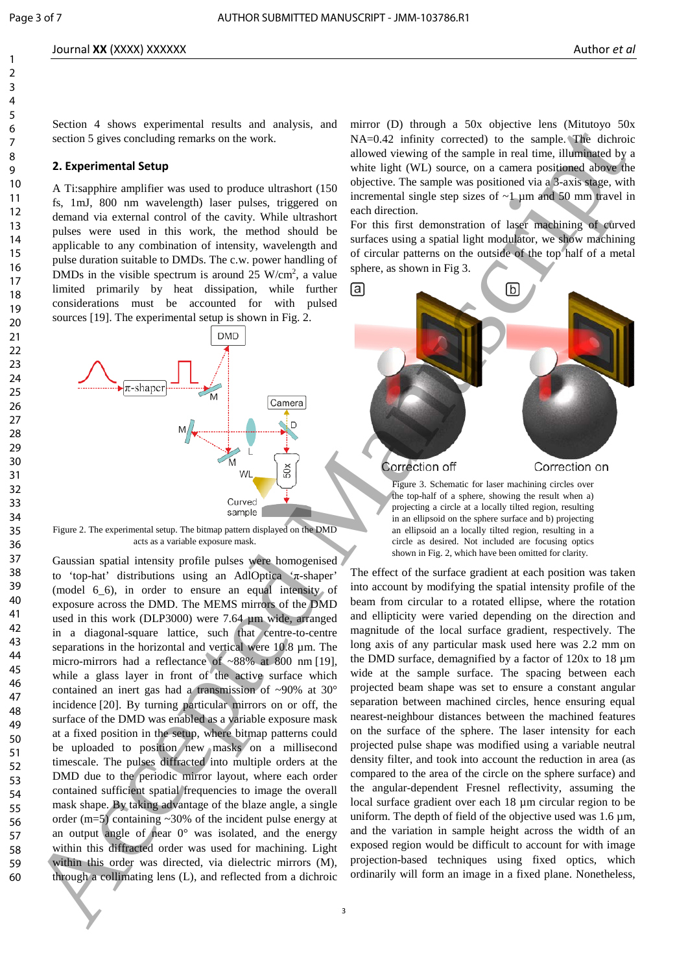Section 4 shows experimental results and analysis, and section 5 gives concluding remarks on the work.

#### **2. Experimental Setup**

A Ti:sapphire amplifier was used to produce ultrashort (150 fs, 1mJ, 800 nm wavelength) laser pulses, triggered on demand via external control of the cavity. While ultrashort pulses were used in this work, the method should be applicable to any combination of intensity, wavelength and pulse duration suitable to DMDs. The c.w. power handling of DMDs in the visible spectrum is around  $25 \text{ W/cm}^2$ , a value limited primarily by heat dissipation, while further considerations must be accounted for with pulsed sources [19]. The experimental setup is shown in Fig. 2.



Figure 2. The experimental setup. The bitmap pattern displayed on the DMD acts as a variable exposure mask.

Gaussian spatial intensity profile pulses were homogenised to 'top-hat' distributions using an AdlOptica 'π-shaper' (model 6.6), in order to ensure an equal intensity of exposure across the DMD. The MEMS mirrors of the DMD used in this work (DLP3000) were 7.64 µm wide, arranged in a diagonal-square lattice, such that centre-to-centre separations in the horizontal and vertical were  $10.8 \mu m$ . The micro-mirrors had a reflectance of ~88% at 800 nm [19], while a glass layer in front of the active surface which contained an inert gas had a transmission of ~90% at 30° incidence [20]. By turning particular mirrors on or off, the surface of the DMD was enabled as a variable exposure mask at a fixed position in the setup, where bitmap patterns could be uploaded to position new masks on a millisecond timescale. The pulses diffracted into multiple orders at the DMD due to the periodic mirror layout, where each order contained sufficient spatial frequencies to image the overall mask shape. By taking advantage of the blaze angle, a single order (m=5) containing ~30% of the incident pulse energy at an output angle of near  $0^{\circ}$  was isolated, and the energy within this diffracted order was used for machining. Light within this order was directed, via dielectric mirrors (M), through a collimating lens (L), and reflected from a dichroic For the system and the system and the system and the system and the system and the system and the system and the system and the system and the system and the system and the system and the system and the system and the sys

mirror (D) through a 50x objective lens (Mitutoyo 50x NA=0.42 infinity corrected) to the sample. The dichroic allowed viewing of the sample in real time, illuminated by a white light (WL) source, on a camera positioned above the objective. The sample was positioned via a 3-axis stage, with incremental single step sizes of  $\sim$ 1  $\mu$ m and 50 mm travel in each direction.

For this first demonstration of laser machining of curved surfaces using a spatial light modulator, we show machining of circular patterns on the outside of the top half of a metal sphere, as shown in Fig 3.



Figure 3. Schematic for laser machining circles over the top-half of a sphere, showing the result when a) projecting a circle at a locally tilted region, resulting in an ellipsoid on the sphere surface and b) projecting an ellipsoid an a locally tilted region, resulting in a circle as desired. Not included are focusing optics shown in Fig. 2, which have been omitted for clarity.

The effect of the surface gradient at each position was taken into account by modifying the spatial intensity profile of the beam from circular to a rotated ellipse, where the rotation and ellipticity were varied depending on the direction and magnitude of the local surface gradient, respectively. The long axis of any particular mask used here was 2.2 mm on the DMD surface, demagnified by a factor of 120x to 18 µm wide at the sample surface. The spacing between each projected beam shape was set to ensure a constant angular separation between machined circles, hence ensuring equal nearest-neighbour distances between the machined features on the surface of the sphere. The laser intensity for each projected pulse shape was modified using a variable neutral density filter, and took into account the reduction in area (as compared to the area of the circle on the sphere surface) and the angular-dependent Fresnel reflectivity, assuming the local surface gradient over each 18 µm circular region to be uniform. The depth of field of the objective used was 1.6 µm, and the variation in sample height across the width of an exposed region would be difficult to account for with image projection-based techniques using fixed optics, which ordinarily will form an image in a fixed plane. Nonetheless,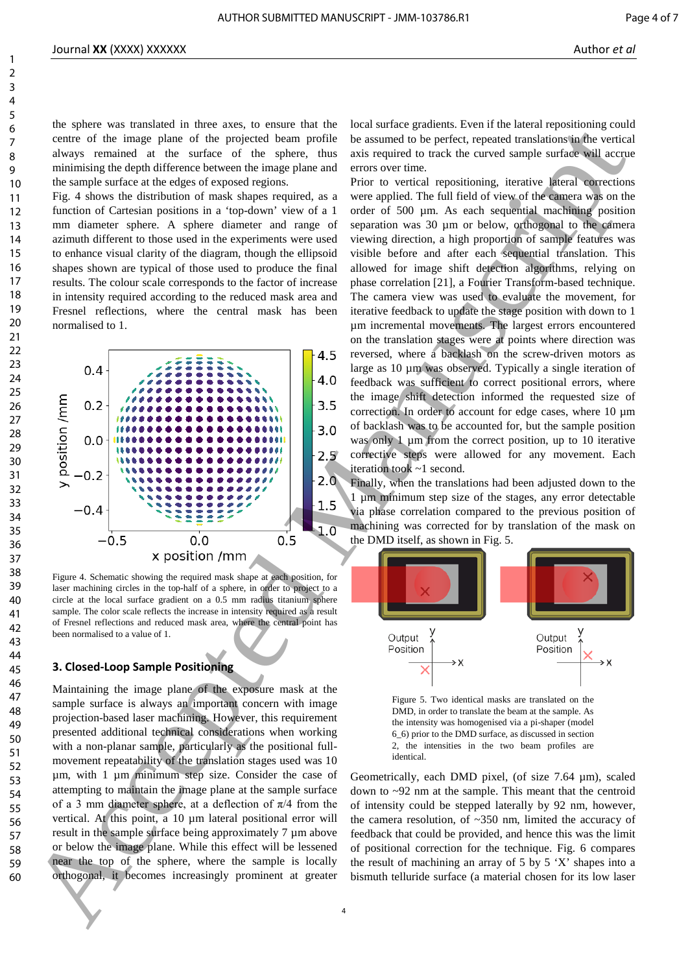the sphere was translated in three axes, to ensure that the centre of the image plane of the projected beam profile always remained at the surface of the sphere, thus minimising the depth difference between the image plane and the sample surface at the edges of exposed regions.

Fig. 4 shows the distribution of mask shapes required, as a function of Cartesian positions in a 'top-down' view of a 1 mm diameter sphere. A sphere diameter and range of azimuth different to those used in the experiments were used to enhance visual clarity of the diagram, though the ellipsoid shapes shown are typical of those used to produce the final results. The colour scale corresponds to the factor of increase in intensity required according to the reduced mask area and Fresnel reflections, where the central mask has been normalised to 1.



Figure 4. Schematic showing the required mask shape at each position, for laser machining circles in the top-half of a sphere, in order to project to a circle at the local surface gradient on a 0.5 mm radius titanium sphere sample. The color scale reflects the increase in intensity required as a result of Fresnel reflections and reduced mask area, where the central point has been normalised to a value of 1.

#### **3. Closed-Loop Sample Positioning**

Maintaining the image plane of the exposure mask at the sample surface is always an important concern with image projection-based laser machining. However, this requirement presented additional technical considerations when working with a non-planar sample, particularly as the positional fullmovement repeatability of the translation stages used was 10 µm, with 1 µm minimum step size. Consider the case of attempting to maintain the image plane at the sample surface of a 3 mm diameter sphere, at a deflection of  $\pi/4$  from the vertical. At this point, a 10 um lateral positional error will result in the sample surface being approximately 7 µm above or below the image plane. While this effect will be lessened near the top of the sphere, where the sample is locally orthogonal, it becomes increasingly prominent at greater

local surface gradients. Even if the lateral repositioning could be assumed to be perfect, repeated translations in the vertical axis required to track the curved sample surface will accrue errors over time.

Prior to vertical repositioning, iterative lateral corrections were applied. The full field of view of the camera was on the order of 500 um. As each sequential machining position separation was 30 µm or below, orthogonal to the camera viewing direction, a high proportion of sample features was visible before and after each sequential translation. This allowed for image shift detection algorithms, relying on phase correlation [21], a Fourier Transform-based technique. The camera view was used to evaluate the movement, for iterative feedback to update the stage position with down to 1 µm incremental movements. The largest errors encountered on the translation stages were at points where direction was reversed, where a backlash on the screw-driven motors as large as 10 µm was observed. Typically a single iteration of feedback was sufficient to correct positional errors, where the image shift detection informed the requested size of correction. In order to account for edge cases, where 10 µm of backlash was to be accounted for, but the sample position was only 1  $\mu$ m from the correct position, up to 10 iterative corrective steps were allowed for any movement. Each iteration took ~1 second. 60 Accepted Manuscript Control of the space of the space of the space of the space of the space of the space of the space of the space of the space of the space of the space of the space of the space of the space of the s

Finally, when the translations had been adjusted down to the 1 µm minimum step size of the stages, any error detectable via phase correlation compared to the previous position of machining was corrected for by translation of the mask on the DMD itself, as shown in Fig. 5.



Figure 5. Two identical masks are translated on the DMD, in order to translate the beam at the sample. As the intensity was homogenised via a pi-shaper (model 6\_6) prior to the DMD surface, as discussed in section 2, the intensities in the two beam profiles are identical.

Geometrically, each DMD pixel, (of size 7.64 µm), scaled down to ~92 nm at the sample. This meant that the centroid of intensity could be stepped laterally by 92 nm, however, the camera resolution, of ~350 nm, limited the accuracy of feedback that could be provided, and hence this was the limit of positional correction for the technique. Fig. 6 compares the result of machining an array of 5 by 5 'X' shapes into a bismuth telluride surface (a material chosen for its low laser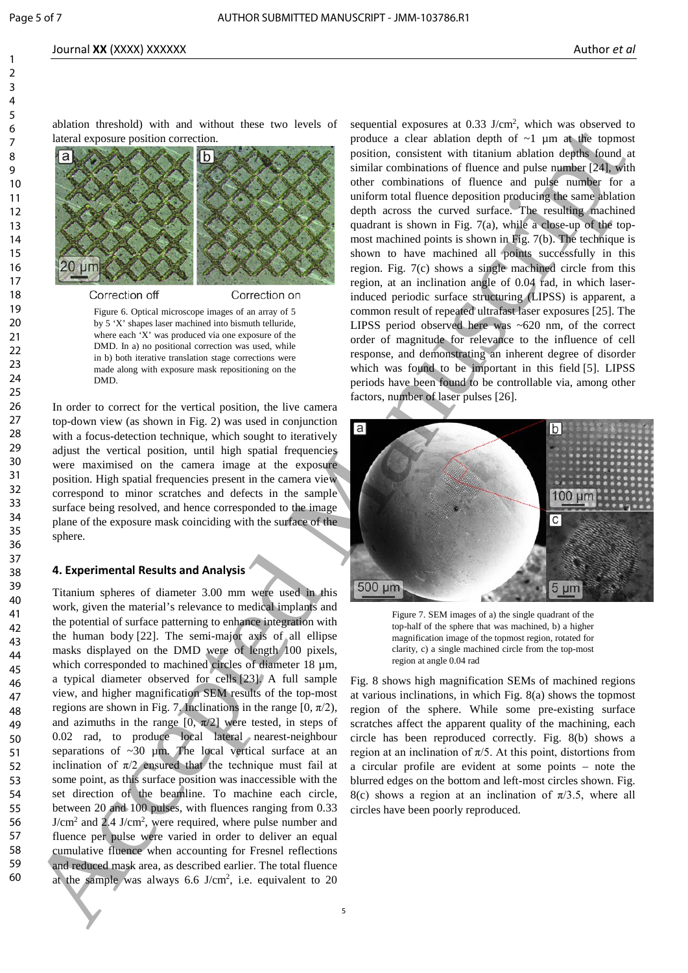#### Journal **XX** (XXXX) XXXXXX Author *et al*

ablation threshold) with and without these two levels of lateral exposure position correction.



Figure 6. Optical microscope images of an array of 5 by 5 'X' shapes laser machined into bismuth telluride, where each 'X' was produced via one exposure of the DMD. In a) no positional correction was used, while in b) both iterative translation stage corrections were made along with exposure mask repositioning on the DMD.

In order to correct for the vertical position, the live camera top-down view (as shown in Fig. 2) was used in conjunction with a focus-detection technique, which sought to iteratively adjust the vertical position, until high spatial frequencies were maximised on the camera image at the exposure position. High spatial frequencies present in the camera view correspond to minor scratches and defects in the sample surface being resolved, and hence corresponded to the image plane of the exposure mask coinciding with the surface of the sphere.

#### **4. Experimental Results and Analysis**

Titanium spheres of diameter 3.00 mm were used in this work, given the material's relevance to medical implants and the potential of surface patterning to enhance integration with the human body [22]. The semi-major axis of all ellipse masks displayed on the DMD were of length 100 pixels, which corresponded to machined circles of diameter 18  $\mu$ m, a typical diameter observed for cells [23]. A full sample view, and higher magnification SEM results of the top-most regions are shown in Fig. 7. Inclinations in the range  $[0, \pi/2)$ , and azimuths in the range  $[0, \pi/2]$  were tested, in steps of 0.02 rad, to produce local lateral nearest-neighbour separations of  $\sim$ 30 µm. The local vertical surface at an inclination of  $\pi/2$  ensured that the technique must fail at some point, as this surface position was inaccessible with the set direction of the beamline. To machine each circle, between 20 and 100 pulses, with fluences ranging from 0.33 J/cm<sup>2</sup> and 2.4 J/cm<sup>2</sup>, were required, where pulse number and fluence per pulse were varied in order to deliver an equal cumulative fluence when accounting for Fresnel reflections and reduced mask area, as described earlier. The total fluence at the sample was always  $6.6$  J/cm<sup>2</sup>, i.e. equivalent to  $20$ Figure 2.2 The main state of the main state and determines the main state and the main state and the main state and the main state and the main state and the main state and the main state and the main state and the main s

sequential exposures at 0.33 J/cm<sup>2</sup>, which was observed to produce a clear ablation depth of  $\sim$ 1 µm at the topmost position, consistent with titanium ablation depths found at similar combinations of fluence and pulse number [24], with other combinations of fluence and pulse number for a uniform total fluence deposition producing the same ablation depth across the curved surface. The resulting machined quadrant is shown in Fig. 7(a), while a close-up of the topmost machined points is shown in Fig. 7(b). The technique is shown to have machined all points successfully in this region. Fig. 7(c) shows a single machined circle from this region, at an inclination angle of 0.04 rad, in which laserinduced periodic surface structuring (LIPSS) is apparent, a common result of repeated ultrafast laser exposures [25]. The LIPSS period observed here was ~620 nm, of the correct order of magnitude for relevance to the influence of cell response, and demonstrating an inherent degree of disorder which was found to be important in this field [5]. LIPSS periods have been found to be controllable via, among other factors, number of laser pulses [26].



Figure 7. SEM images of a) the single quadrant of the top-half of the sphere that was machined, b) a higher magnification image of the topmost region, rotated for clarity, c) a single machined circle from the top-most region at angle 0.04 rad

Fig. 8 shows high magnification SEMs of machined regions at various inclinations, in which Fig. 8(a) shows the topmost region of the sphere. While some pre-existing surface scratches affect the apparent quality of the machining, each circle has been reproduced correctly. Fig. 8(b) shows a region at an inclination of π/5. At this point, distortions from a circular profile are evident at some points – note the blurred edges on the bottom and left-most circles shown. Fig. 8(c) shows a region at an inclination of  $\pi/3.5$ , where all circles have been poorly reproduced.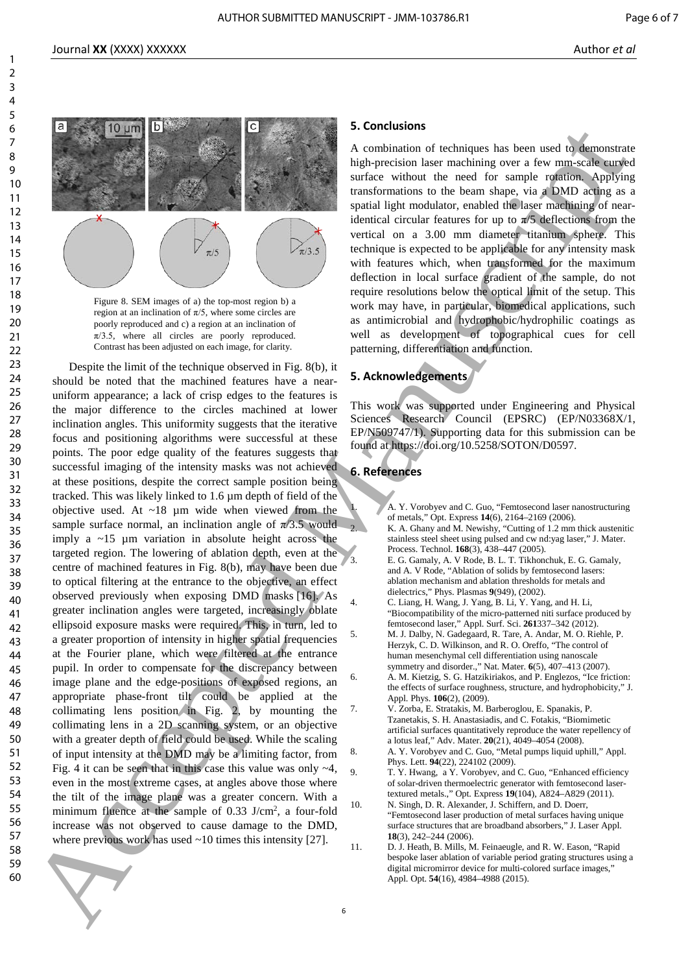



Figure 8. SEM images of a) the top-most region b) a region at an inclination of  $\pi/5$ , where some circles are poorly reproduced and c) a region at an inclination of  $\pi/3.5$ , where all circles are poorly reproduced. Contrast has been adjusted on each image, for clarity.

Despite the limit of the technique observed in Fig. 8(b), it should be noted that the machined features have a nearuniform appearance; a lack of crisp edges to the features is the major difference to the circles machined at lower inclination angles. This uniformity suggests that the iterative focus and positioning algorithms were successful at these points. The poor edge quality of the features suggests that successful imaging of the intensity masks was not achieved at these positions, despite the correct sample position being tracked. This was likely linked to 1.6 µm depth of field of the objective used. At ~18 µm wide when viewed from the sample surface normal, an inclination angle of  $\pi/3.5$  would imply a  $\sim$ 15 µm variation in absolute height across the targeted region. The lowering of ablation depth, even at the centre of machined features in Fig. 8(b), may have been due to optical filtering at the entrance to the objective, an effect observed previously when exposing DMD masks [16]. As greater inclination angles were targeted, increasingly oblate ellipsoid exposure masks were required. This, in turn, led to a greater proportion of intensity in higher spatial frequencies at the Fourier plane, which were filtered at the entrance pupil. In order to compensate for the discrepancy between image plane and the edge-positions of exposed regions, an appropriate phase-front tilt could be applied at the collimating lens position in Fig. 2, by mounting the collimating lens in a 2D scanning system, or an objective with a greater depth of field could be used. While the scaling of input intensity at the DMD may be a limiting factor, from Fig. 4 it can be seen that in this case this value was only  $\sim$ 4, even in the most extreme cases, at angles above those where the tilt of the image plane was a greater concern. With a minimum fluence at the sample of 0.33 J/cm<sup>2</sup>, a four-fold increase was not observed to cause damage to the DMD, where previous work has used  $~10$  times this intensity [27]. 60 Accepted Manuscript Controller and the Controller and Controller and Controller and Controller and Controller and Controller and Controller and Controller and Controller and Controller and Controller and Controller and

#### **5. Conclusions**

A combination of techniques has been used to demonstrate high-precision laser machining over a few mm-scale curved surface without the need for sample rotation. Applying transformations to the beam shape, via a DMD acting as a spatial light modulator, enabled the laser machining of nearidentical circular features for up to  $\pi/5$  deflections from the vertical on a 3.00 mm diameter titanium sphere. This technique is expected to be applicable for any intensity mask with features which, when transformed for the maximum deflection in local surface gradient of the sample, do not require resolutions below the optical limit of the setup. This work may have, in particular, biomedical applications, such as antimicrobial and hydrophobic/hydrophilic coatings as well as development of topographical cues for cell patterning, differentiation and function.

#### **5. Acknowledgements**

This work was supported under Engineering and Physical Sciences Research Council (EPSRC) (EP/N03368X/1, EP/N509747/1). Supporting data for this submission can be found at https://doi.org/10.5258/SOTON/D0597.

#### **6. References**

- 1. A. Y. Vorobyev and C. Guo, "Femtosecond laser nanostructuring of metals," Opt. Express **14**(6), 2164–2169 (2006).
- 2. K. A. Ghany and M. Newishy, "Cutting of 1.2 mm thick austenitic stainless steel sheet using pulsed and cw nd:yag laser," J. Mater. Process. Technol. **168**(3), 438–447 (2005).
- 3. E. G. Gamaly, A. V Rode, B. L. T. Tikhonchuk, E. G. Gamaly, and A. V Rode, "Ablation of solids by femtosecond lasers: ablation mechanism and ablation thresholds for metals and dielectrics," Phys. Plasmas **9**(949), (2002).
- 4. C. Liang, H. Wang, J. Yang, B. Li, Y. Yang, and H. Li, "Biocompatibility of the micro-patterned niti surface produced by femtosecond laser," Appl. Surf. Sci. **261**337–342 (2012).
	- 5. M. J. Dalby, N. Gadegaard, R. Tare, A. Andar, M. O. Riehle, P. Herzyk, C. D. Wilkinson, and R. O. Oreffo, "The control of human mesenchymal cell differentiation using nanoscale symmetry and disorder.," Nat. Mater. **6**(5), 407–413 (2007).
- 6. A. M. Kietzig, S. G. Hatzikiriakos, and P. Englezos, "Ice friction: the effects of surface roughness, structure, and hydrophobicity," J. Appl. Phys. **106**(2), (2009).
- 7. V. Zorba, E. Stratakis, M. Barberoglou, E. Spanakis, P. Tzanetakis, S. H. Anastasiadis, and C. Fotakis, "Biomimetic artificial surfaces quantitatively reproduce the water repellency of a lotus leaf," Adv. Mater. **20**(21), 4049–4054 (2008).
- 8. A. Y. Vorobyev and C. Guo, "Metal pumps liquid uphill," Appl. Phys. Lett. **94**(22), 224102 (2009).
- 9. T. Y. Hwang, a Y. Vorobyev, and C. Guo, "Enhanced efficiency of solar-driven thermoelectric generator with femtosecond lasertextured metals.," Opt. Express **19**(104), A824–A829 (2011).
- 10. N. Singh, D. R. Alexander, J. Schiffern, and D. Doerr, "Femtosecond laser production of metal surfaces having unique surface structures that are broadband absorbers," J. Laser Appl. **18**(3), 242–244 (2006).
- 11. D. J. Heath, B. Mills, M. Feinaeugle, and R. W. Eason, "Rapid bespoke laser ablation of variable period grating structures using a digital micromirror device for multi-colored surface images," Appl. Opt. **54**(16), 4984–4988 (2015).